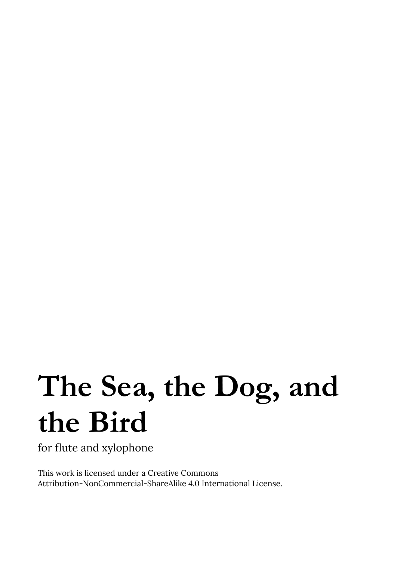## **The Sea, the Dog, and the Bird**

for flute and xylophone

This work is licensed under a Creative Commons Attribution-NonCommercial-ShareAlike 4.0 International License.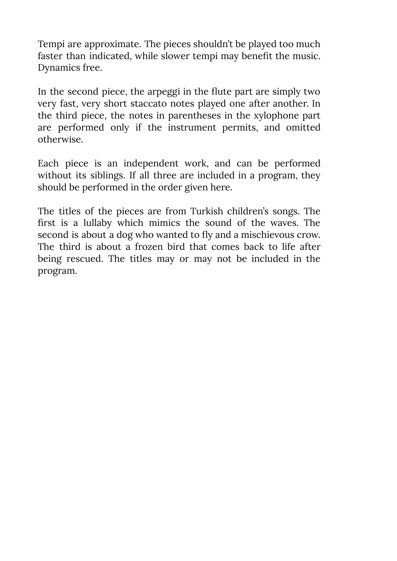Tempi are approximate. The pieces shouldn't be played too much faster than indicated, while slower tempi may benefit the music. Dynamics free.

In the second piece, the arpeggi in the flute part are simply two very fast, very short staccato notes played one after another. In the third piece, the notes in parentheses in the xylophone part are performed only if the instrument permits, and omitted otherwise.

Each piece is an independent work, and can be performed without its siblings. If all three are included in a program, they should be performed in the order given here.

The titles of the pieces are from Turkish children's songs. The first is a lullaby which mimics the sound of the waves. The second is about a dog who wanted to fly and a mischievous crow. The third is about a frozen bird that comes back to life after being rescued. The titles may or may not be included in the program.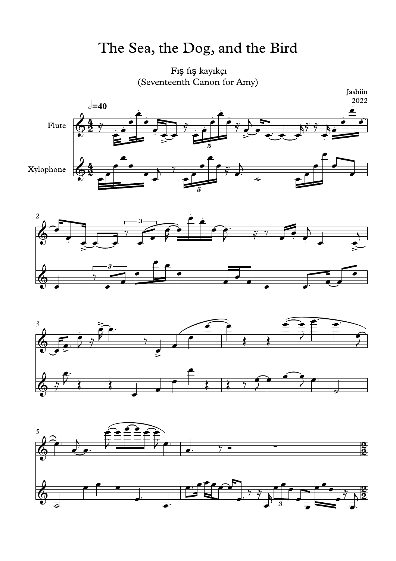## The Sea, the Dog, and the Bird

Fiş fiş kayıkçı (Seventeenth Canon for Amy)







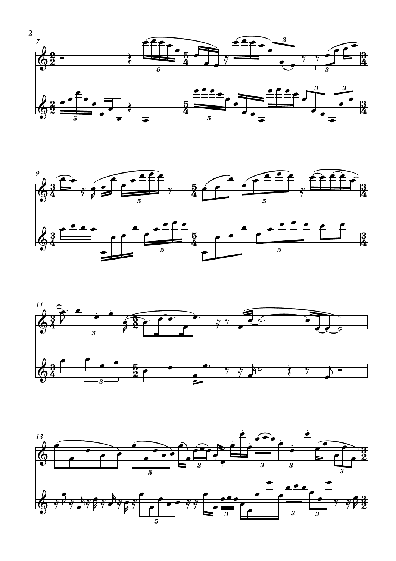





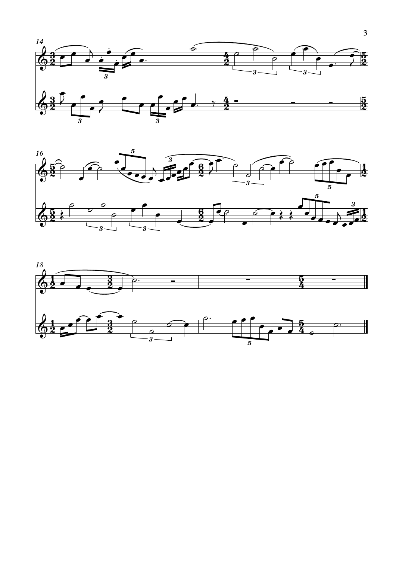

![](_page_4_Figure_1.jpeg)

![](_page_4_Figure_2.jpeg)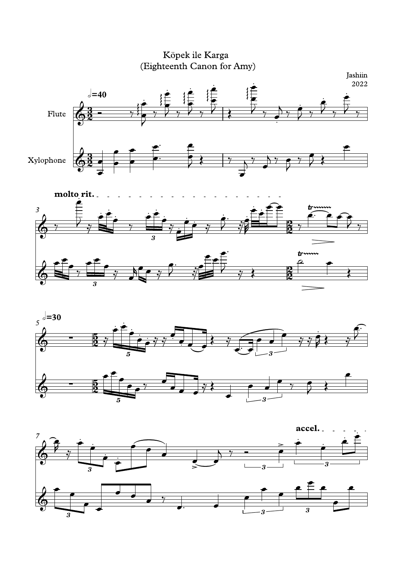Köpek ile Karga (Eighteenth Canon for Amy)

![](_page_5_Figure_1.jpeg)

![](_page_5_Figure_2.jpeg)

![](_page_5_Figure_3.jpeg)

![](_page_5_Figure_4.jpeg)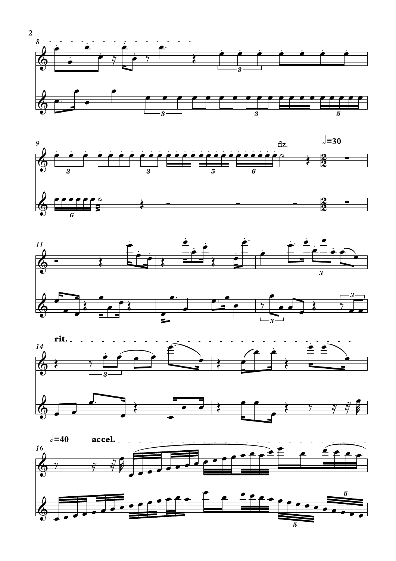![](_page_6_Figure_0.jpeg)

![](_page_6_Figure_1.jpeg)

![](_page_6_Figure_2.jpeg)

![](_page_6_Figure_3.jpeg)

![](_page_6_Figure_4.jpeg)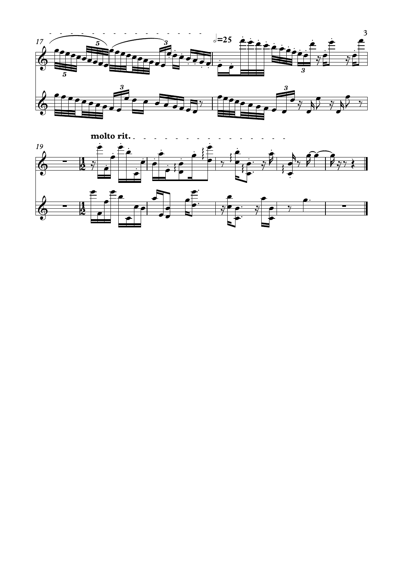![](_page_7_Figure_0.jpeg)

![](_page_7_Figure_1.jpeg)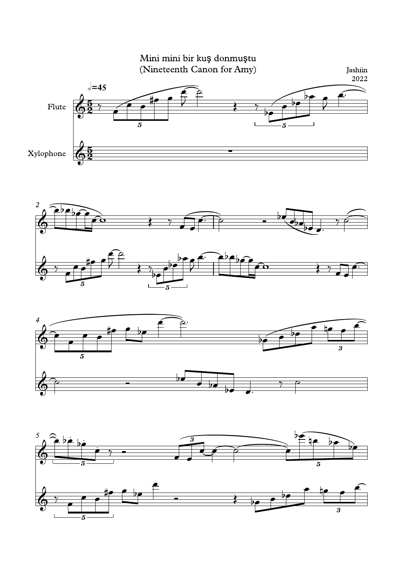![](_page_8_Figure_0.jpeg)

![](_page_8_Figure_1.jpeg)

![](_page_8_Figure_2.jpeg)

![](_page_8_Figure_3.jpeg)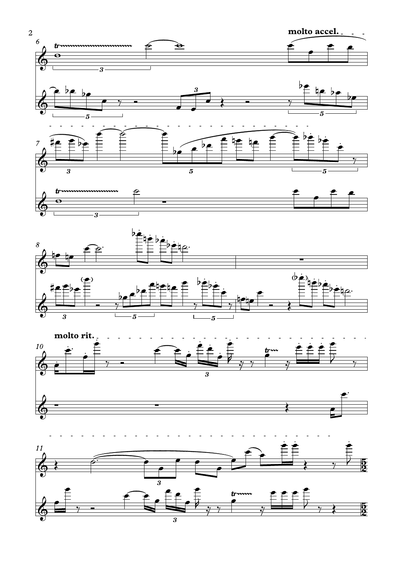![](_page_9_Figure_0.jpeg)

![](_page_9_Figure_1.jpeg)

![](_page_9_Figure_2.jpeg)

![](_page_9_Figure_3.jpeg)